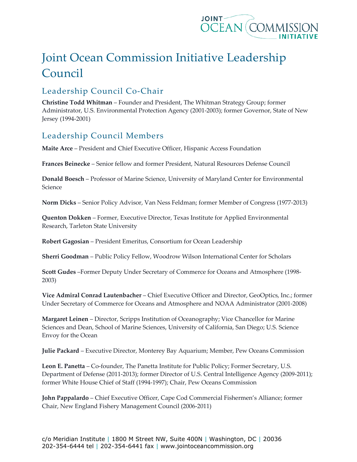

## Joint Ocean Commission Initiative Leadership Council

## Leadership Council Co-Chair

**Christine Todd Whitman** – Founder and President, The Whitman Strategy Group; former Administrator, U.S. Environmental Protection Agency (2001-2003); former Governor, State of New Jersey (1994-2001)

## Leadership Council Members

**Maite Arce** – President and Chief Executive Officer, Hispanic Access Foundation

**Frances Beinecke** – Senior fellow and former President, Natural Resources Defense Council

**Donald Boesch** – Professor of Marine Science, University of Maryland Center for Environmental Science

**Norm Dicks** – Senior Policy Advisor, Van Ness Feldman; former Member of Congress (1977-2013)

**Quenton Dokken** – Former, Executive Director, Texas Institute for Applied Environmental Research, Tarleton State University

**Robert Gagosian** – President Emeritus, Consortium for Ocean Leadership

**Sherri Goodman** – Public Policy Fellow, Woodrow Wilson International Center for Scholars

**Scott Gudes** –Former Deputy Under Secretary of Commerce for Oceans and Atmosphere (1998- 2003)

**Vice Admiral Conrad Lautenbacher** – Chief Executive Officer and Director, GeoOptics, Inc.; former Under Secretary of Commerce for Oceans and Atmosphere and NOAA Administrator (2001-2008)

**Margaret Leinen** – Director, Scripps Institution of Oceanography; Vice Chancellor for Marine Sciences and Dean, School of Marine Sciences, University of California, San Diego; U.S. Science Envoy for the Ocean

**Julie Packard** – Executive Director, Monterey Bay Aquarium; Member, Pew Oceans Commission

**Leon E. Panetta** – Co-founder, The Panetta Institute for Public Policy; Former Secretary, U.S. Department of Defense (2011-2013); former Director of U.S. Central Intelligence Agency (2009-2011); former White House Chief of Staff (1994-1997); Chair, Pew Oceans Commission

**John Pappalardo** – Chief Executive Officer, Cape Cod Commercial Fishermen's Alliance; former Chair, New England Fishery Management Council (2006-2011)